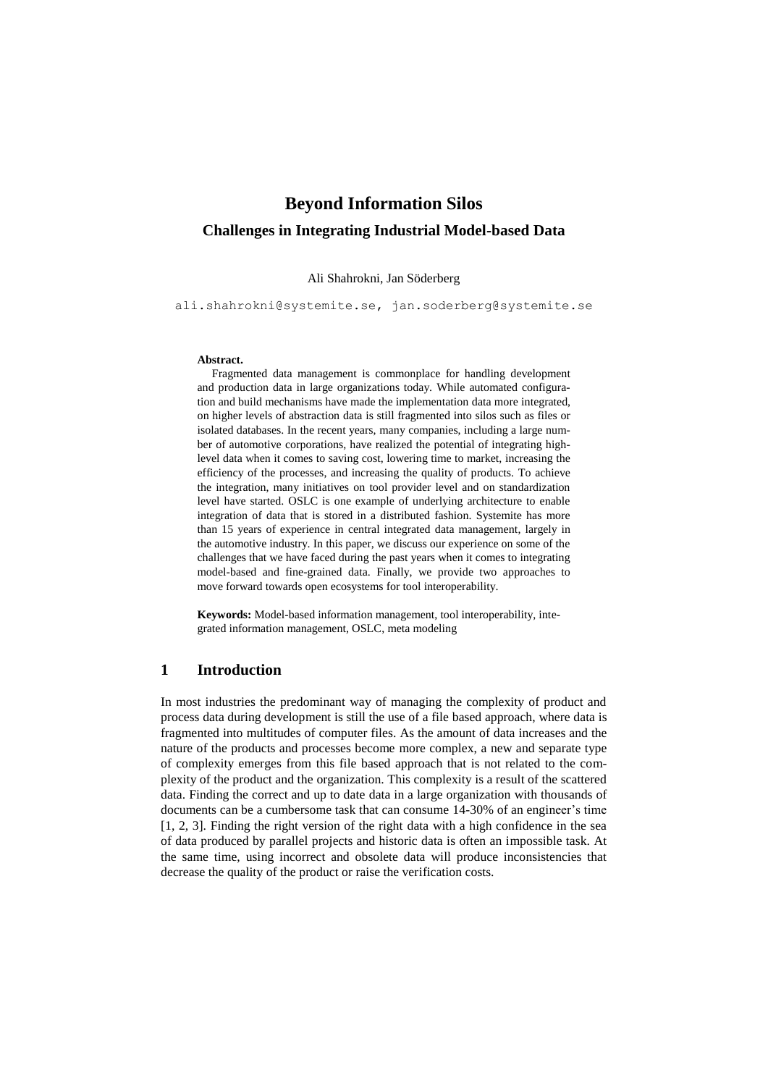# **Beyond Information Silos Challenges in Integrating Industrial Model-based Data**

#### Ali Shahrokni, Jan Söderberg

[ali.shahrokni@systemite.se,](mailto:ali.shahrokni@systemite.se) jan.soderberg@systemite.se

#### **Abstract.**

Fragmented data management is commonplace for handling development and production data in large organizations today. While automated configuration and build mechanisms have made the implementation data more integrated, on higher levels of abstraction data is still fragmented into silos such as files or isolated databases. In the recent years, many companies, including a large number of automotive corporations, have realized the potential of integrating highlevel data when it comes to saving cost, lowering time to market, increasing the efficiency of the processes, and increasing the quality of products. To achieve the integration, many initiatives on tool provider level and on standardization level have started. OSLC is one example of underlying architecture to enable integration of data that is stored in a distributed fashion. Systemite has more than 15 years of experience in central integrated data management, largely in the automotive industry. In this paper, we discuss our experience on some of the challenges that we have faced during the past years when it comes to integrating model-based and fine-grained data. Finally, we provide two approaches to move forward towards open ecosystems for tool interoperability.

**Keywords:** Model-based information management, tool interoperability, integrated information management, OSLC, meta modeling

# **1 Introduction**

In most industries the predominant way of managing the complexity of product and process data during development is still the use of a file based approach, where data is fragmented into multitudes of computer files. As the amount of data increases and the nature of the products and processes become more complex, a new and separate type of complexity emerges from this file based approach that is not related to the complexity of the product and the organization. This complexity is a result of the scattered data. Finding the correct and up to date data in a large organization with thousands of documents can be a cumbersome task that can consume 14-30% of an engineer's time [\[1,](#page-9-0) [2,](#page-9-1) [3\]](#page-9-2). Finding the right version of the right data with a high confidence in the sea of data produced by parallel projects and historic data is often an impossible task. At the same time, using incorrect and obsolete data will produce inconsistencies that decrease the quality of the product or raise the verification costs.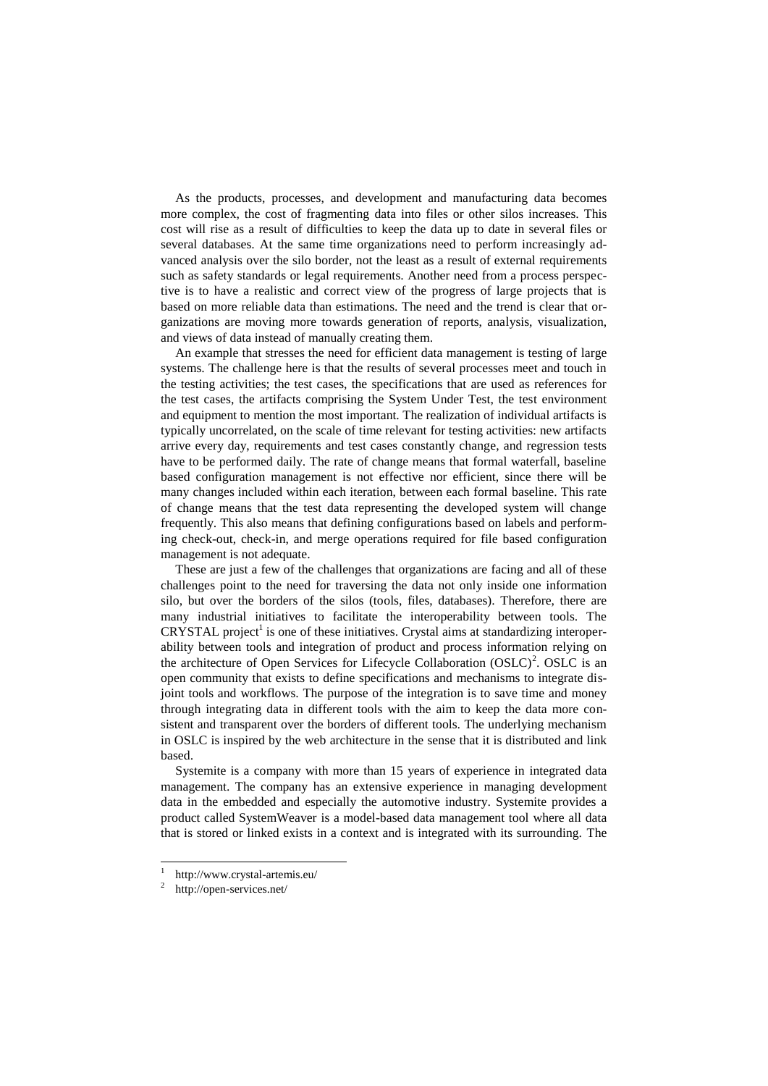As the products, processes, and development and manufacturing data becomes more complex, the cost of fragmenting data into files or other silos increases. This cost will rise as a result of difficulties to keep the data up to date in several files or several databases. At the same time organizations need to perform increasingly advanced analysis over the silo border, not the least as a result of external requirements such as safety standards or legal requirements. Another need from a process perspective is to have a realistic and correct view of the progress of large projects that is based on more reliable data than estimations. The need and the trend is clear that organizations are moving more towards generation of reports, analysis, visualization, and views of data instead of manually creating them.

An example that stresses the need for efficient data management is testing of large systems. The challenge here is that the results of several processes meet and touch in the testing activities; the test cases, the specifications that are used as references for the test cases, the artifacts comprising the System Under Test, the test environment and equipment to mention the most important. The realization of individual artifacts is typically uncorrelated, on the scale of time relevant for testing activities: new artifacts arrive every day, requirements and test cases constantly change, and regression tests have to be performed daily. The rate of change means that formal waterfall, baseline based configuration management is not effective nor efficient, since there will be many changes included within each iteration, between each formal baseline. This rate of change means that the test data representing the developed system will change frequently. This also means that defining configurations based on labels and performing check-out, check-in, and merge operations required for file based configuration management is not adequate.

These are just a few of the challenges that organizations are facing and all of these challenges point to the need for traversing the data not only inside one information silo, but over the borders of the silos (tools, files, databases). Therefore, there are many industrial initiatives to facilitate the interoperability between tools. The  $CRYSTAL$  project<sup>1</sup> is one of these initiatives. Crystal aims at standardizing interoperability between tools and integration of product and process information relying on the architecture of Open Services for Lifecycle Collaboration  $(OSLC)^2$ . OSLC is an open community that exists to define specifications and mechanisms to integrate disjoint tools and workflows. The purpose of the integration is to save time and money through integrating data in different tools with the aim to keep the data more consistent and transparent over the borders of different tools. The underlying mechanism in OSLC is inspired by the web architecture in the sense that it is distributed and link based.

Systemite is a company with more than 15 years of experience in integrated data management. The company has an extensive experience in managing development data in the embedded and especially the automotive industry. Systemite provides a product called SystemWeaver is a model-based data management tool where all data that is stored or linked exists in a context and is integrated with its surrounding. The

 $\overline{a}$ 

<sup>1</sup> http://www.crystal-artemis.eu/

 $\overline{2}$ http://open-services.net/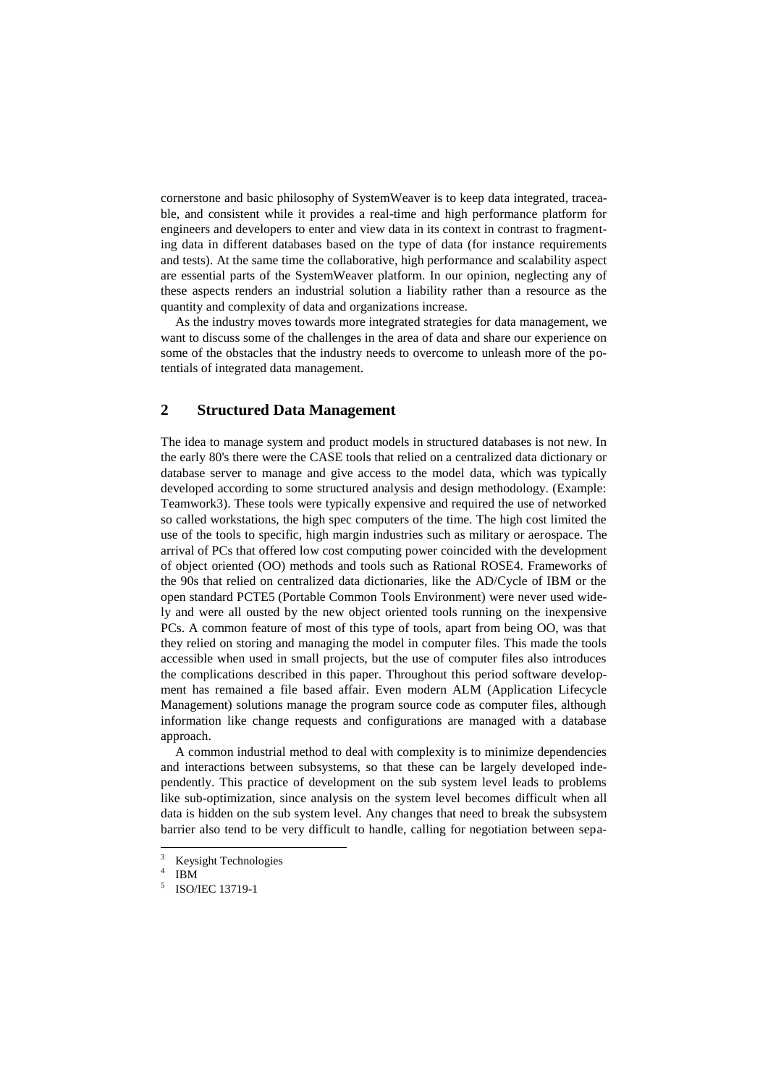cornerstone and basic philosophy of SystemWeaver is to keep data integrated, traceable, and consistent while it provides a real-time and high performance platform for engineers and developers to enter and view data in its context in contrast to fragmenting data in different databases based on the type of data (for instance requirements and tests). At the same time the collaborative, high performance and scalability aspect are essential parts of the SystemWeaver platform. In our opinion, neglecting any of these aspects renders an industrial solution a liability rather than a resource as the quantity and complexity of data and organizations increase.

As the industry moves towards more integrated strategies for data management, we want to discuss some of the challenges in the area of data and share our experience on some of the obstacles that the industry needs to overcome to unleash more of the potentials of integrated data management.

# **2 Structured Data Management**

The idea to manage system and product models in structured databases is not new. In the early 80's there were the CASE tools that relied on a centralized data dictionary or database server to manage and give access to the model data, which was typically developed according to some structured analysis and design methodology. (Example: Teamwork3). These tools were typically expensive and required the use of networked so called workstations, the high spec computers of the time. The high cost limited the use of the tools to specific, high margin industries such as military or aerospace. The arrival of PCs that offered low cost computing power coincided with the development of object oriented (OO) methods and tools such as Rational ROSE4. Frameworks of the 90s that relied on centralized data dictionaries, like the AD/Cycle of IBM or the open standard PCTE5 (Portable Common Tools Environment) were never used widely and were all ousted by the new object oriented tools running on the inexpensive PCs. A common feature of most of this type of tools, apart from being OO, was that they relied on storing and managing the model in computer files. This made the tools accessible when used in small projects, but the use of computer files also introduces the complications described in this paper. Throughout this period software development has remained a file based affair. Even modern ALM (Application Lifecycle Management) solutions manage the program source code as computer files, although information like change requests and configurations are managed with a database approach.

A common industrial method to deal with complexity is to minimize dependencies and interactions between subsystems, so that these can be largely developed independently. This practice of development on the sub system level leads to problems like sub-optimization, since analysis on the system level becomes difficult when all data is hidden on the sub system level. Any changes that need to break the subsystem barrier also tend to be very difficult to handle, calling for negotiation between sepa-

l

<sup>&</sup>lt;sup>3</sup> Keysight Technologies

<sup>4</sup> IBM

<sup>5</sup> ISO/IEC 13719-1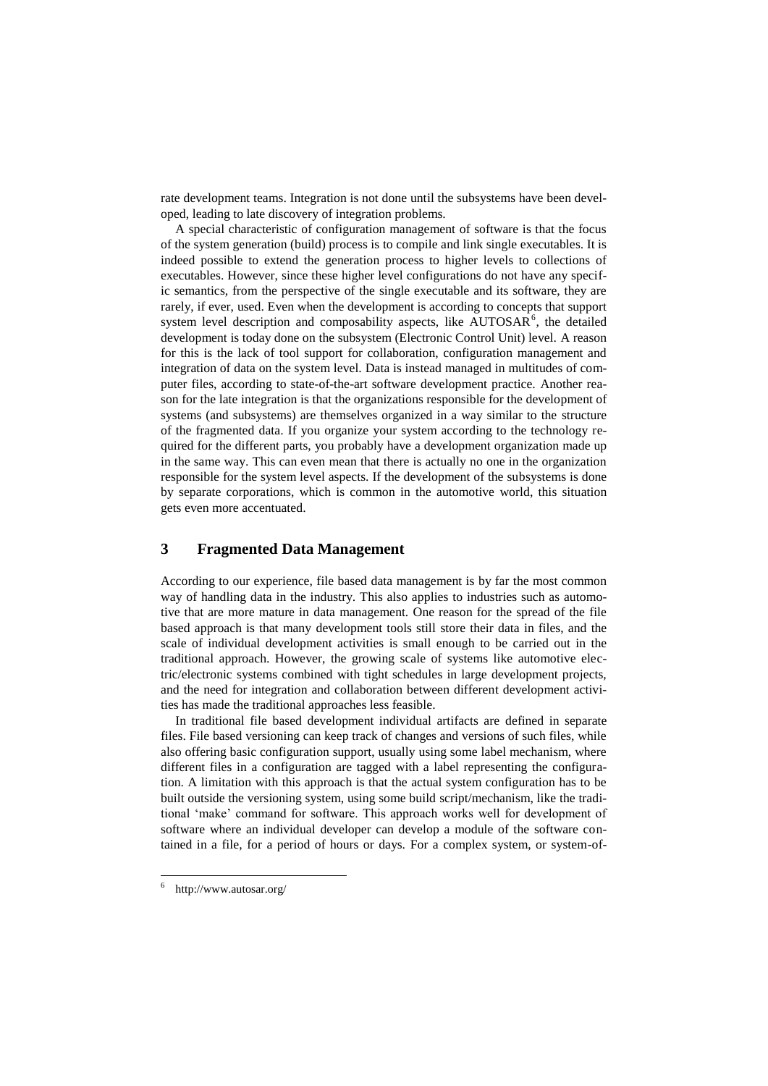rate development teams. Integration is not done until the subsystems have been developed, leading to late discovery of integration problems.

A special characteristic of configuration management of software is that the focus of the system generation (build) process is to compile and link single executables. It is indeed possible to extend the generation process to higher levels to collections of executables. However, since these higher level configurations do not have any specific semantics, from the perspective of the single executable and its software, they are rarely, if ever, used. Even when the development is according to concepts that support system level description and composability aspects, like  $\text{AUTOSAR}^6$ , the detailed development is today done on the subsystem (Electronic Control Unit) level. A reason for this is the lack of tool support for collaboration, configuration management and integration of data on the system level. Data is instead managed in multitudes of computer files, according to state-of-the-art software development practice. Another reason for the late integration is that the organizations responsible for the development of systems (and subsystems) are themselves organized in a way similar to the structure of the fragmented data. If you organize your system according to the technology required for the different parts, you probably have a development organization made up in the same way. This can even mean that there is actually no one in the organization responsible for the system level aspects. If the development of the subsystems is done by separate corporations, which is common in the automotive world, this situation gets even more accentuated.

# **3 Fragmented Data Management**

According to our experience, file based data management is by far the most common way of handling data in the industry. This also applies to industries such as automotive that are more mature in data management. One reason for the spread of the file based approach is that many development tools still store their data in files, and the scale of individual development activities is small enough to be carried out in the traditional approach. However, the growing scale of systems like automotive electric/electronic systems combined with tight schedules in large development projects, and the need for integration and collaboration between different development activities has made the traditional approaches less feasible.

In traditional file based development individual artifacts are defined in separate files. File based versioning can keep track of changes and versions of such files, while also offering basic configuration support, usually using some label mechanism, where different files in a configuration are tagged with a label representing the configuration. A limitation with this approach is that the actual system configuration has to be built outside the versioning system, using some build script/mechanism, like the traditional 'make' command for software. This approach works well for development of software where an individual developer can develop a module of the software contained in a file, for a period of hours or days. For a complex system, or system-of-

 $\overline{a}$ 

<sup>6</sup> http://www.autosar.org/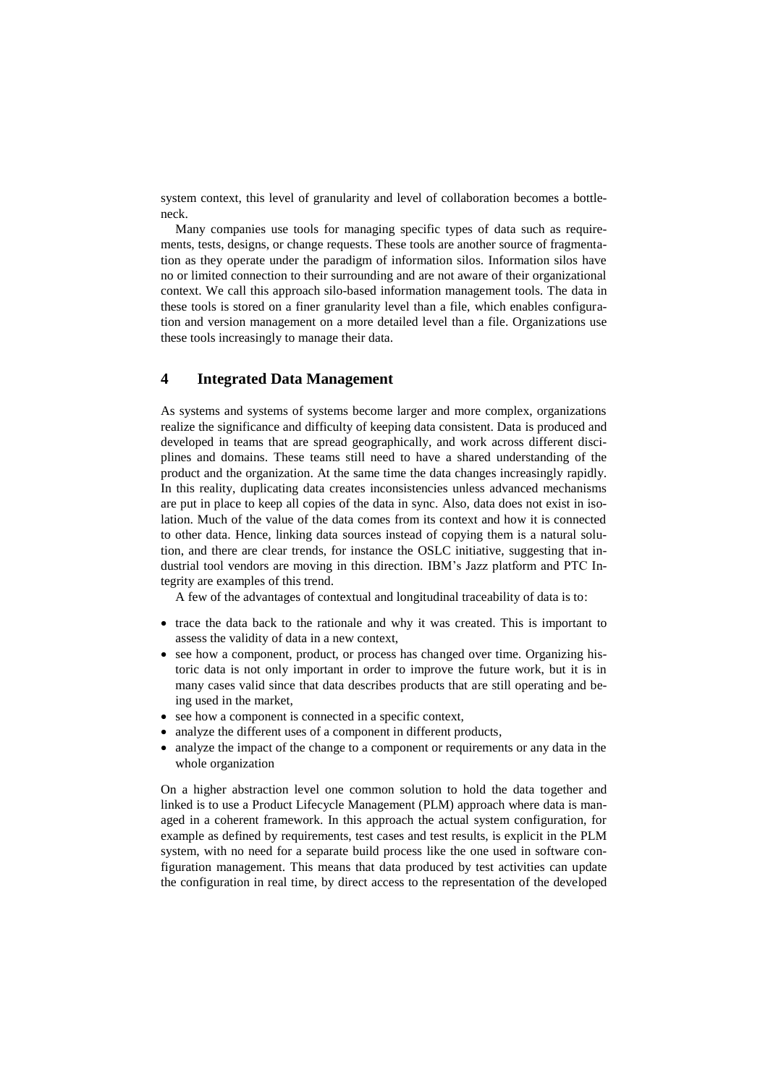system context, this level of granularity and level of collaboration becomes a bottleneck.

Many companies use tools for managing specific types of data such as requirements, tests, designs, or change requests. These tools are another source of fragmentation as they operate under the paradigm of information silos. Information silos have no or limited connection to their surrounding and are not aware of their organizational context. We call this approach silo-based information management tools. The data in these tools is stored on a finer granularity level than a file, which enables configuration and version management on a more detailed level than a file. Organizations use these tools increasingly to manage their data.

# **4 Integrated Data Management**

As systems and systems of systems become larger and more complex, organizations realize the significance and difficulty of keeping data consistent. Data is produced and developed in teams that are spread geographically, and work across different disciplines and domains. These teams still need to have a shared understanding of the product and the organization. At the same time the data changes increasingly rapidly. In this reality, duplicating data creates inconsistencies unless advanced mechanisms are put in place to keep all copies of the data in sync. Also, data does not exist in isolation. Much of the value of the data comes from its context and how it is connected to other data. Hence, linking data sources instead of copying them is a natural solution, and there are clear trends, for instance the OSLC initiative, suggesting that industrial tool vendors are moving in this direction. IBM's Jazz platform and PTC Integrity are examples of this trend.

A few of the advantages of contextual and longitudinal traceability of data is to:

- trace the data back to the rationale and why it was created. This is important to assess the validity of data in a new context,
- see how a component, product, or process has changed over time. Organizing historic data is not only important in order to improve the future work, but it is in many cases valid since that data describes products that are still operating and being used in the market,
- see how a component is connected in a specific context,
- analyze the different uses of a component in different products,
- analyze the impact of the change to a component or requirements or any data in the whole organization

On a higher abstraction level one common solution to hold the data together and linked is to use a Product Lifecycle Management (PLM) approach where data is managed in a coherent framework. In this approach the actual system configuration, for example as defined by requirements, test cases and test results, is explicit in the PLM system, with no need for a separate build process like the one used in software configuration management. This means that data produced by test activities can update the configuration in real time, by direct access to the representation of the developed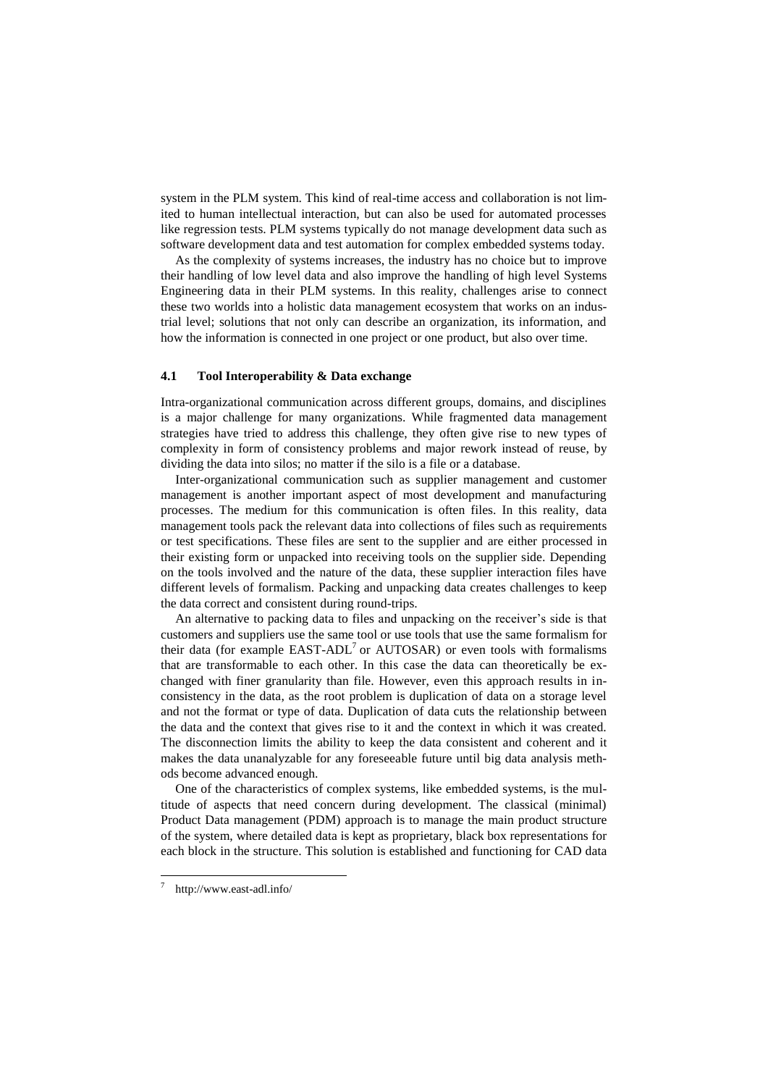system in the PLM system. This kind of real-time access and collaboration is not limited to human intellectual interaction, but can also be used for automated processes like regression tests. PLM systems typically do not manage development data such as software development data and test automation for complex embedded systems today.

As the complexity of systems increases, the industry has no choice but to improve their handling of low level data and also improve the handling of high level Systems Engineering data in their PLM systems. In this reality, challenges arise to connect these two worlds into a holistic data management ecosystem that works on an industrial level; solutions that not only can describe an organization, its information, and how the information is connected in one project or one product, but also over time.

### **4.1 Tool Interoperability & Data exchange**

Intra-organizational communication across different groups, domains, and disciplines is a major challenge for many organizations. While fragmented data management strategies have tried to address this challenge, they often give rise to new types of complexity in form of consistency problems and major rework instead of reuse, by dividing the data into silos; no matter if the silo is a file or a database.

Inter-organizational communication such as supplier management and customer management is another important aspect of most development and manufacturing processes. The medium for this communication is often files. In this reality, data management tools pack the relevant data into collections of files such as requirements or test specifications. These files are sent to the supplier and are either processed in their existing form or unpacked into receiving tools on the supplier side. Depending on the tools involved and the nature of the data, these supplier interaction files have different levels of formalism. Packing and unpacking data creates challenges to keep the data correct and consistent during round-trips.

An alternative to packing data to files and unpacking on the receiver's side is that customers and suppliers use the same tool or use tools that use the same formalism for their data (for example  $EAST-ADL<sup>7</sup>$  or AUTOSAR) or even tools with formalisms that are transformable to each other. In this case the data can theoretically be exchanged with finer granularity than file. However, even this approach results in inconsistency in the data, as the root problem is duplication of data on a storage level and not the format or type of data. Duplication of data cuts the relationship between the data and the context that gives rise to it and the context in which it was created. The disconnection limits the ability to keep the data consistent and coherent and it makes the data unanalyzable for any foreseeable future until big data analysis methods become advanced enough.

One of the characteristics of complex systems, like embedded systems, is the multitude of aspects that need concern during development. The classical (minimal) Product Data management (PDM) approach is to manage the main product structure of the system, where detailed data is kept as proprietary, black box representations for each block in the structure. This solution is established and functioning for CAD data

 $\overline{a}$ 

<sup>7</sup> http://www.east-adl.info/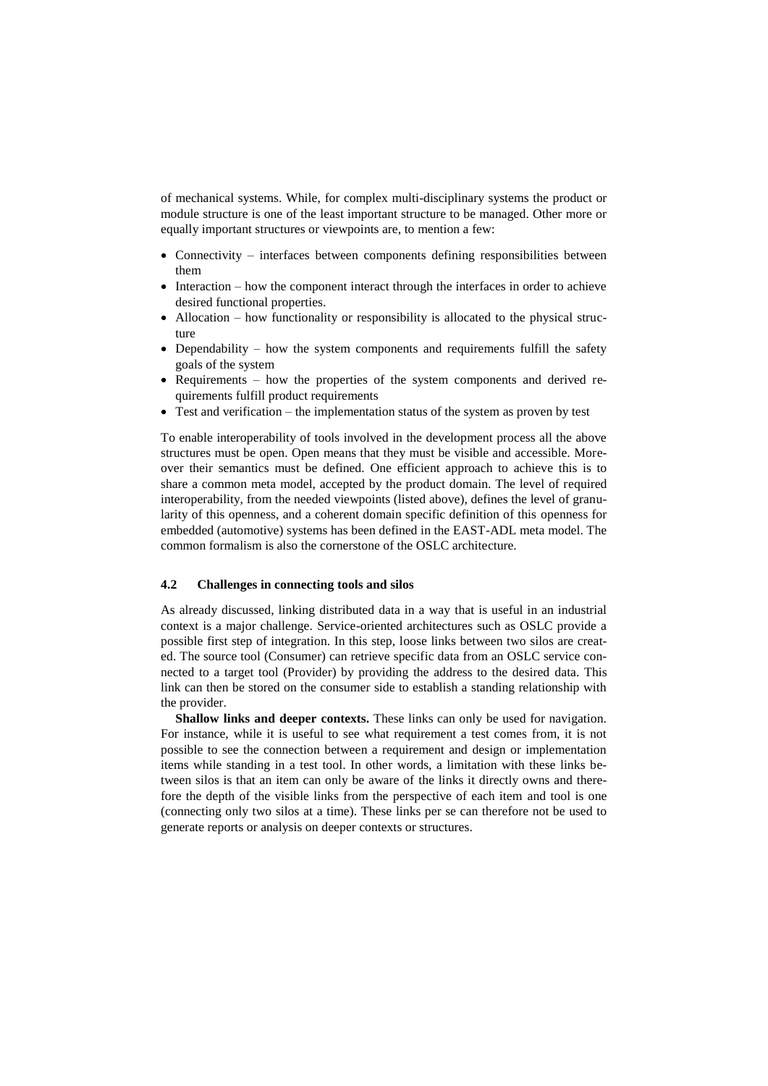of mechanical systems. While, for complex multi-disciplinary systems the product or module structure is one of the least important structure to be managed. Other more or equally important structures or viewpoints are, to mention a few:

- Connectivity interfaces between components defining responsibilities between them
- Interaction how the component interact through the interfaces in order to achieve desired functional properties.
- Allocation how functionality or responsibility is allocated to the physical structure
- Dependability how the system components and requirements fulfill the safety goals of the system
- Requirements how the properties of the system components and derived requirements fulfill product requirements
- Test and verification the implementation status of the system as proven by test

To enable interoperability of tools involved in the development process all the above structures must be open. Open means that they must be visible and accessible. Moreover their semantics must be defined. One efficient approach to achieve this is to share a common meta model, accepted by the product domain. The level of required interoperability, from the needed viewpoints (listed above), defines the level of granularity of this openness, and a coherent domain specific definition of this openness for embedded (automotive) systems has been defined in the EAST-ADL meta model. The common formalism is also the cornerstone of the OSLC architecture.

## **4.2 Challenges in connecting tools and silos**

As already discussed, linking distributed data in a way that is useful in an industrial context is a major challenge. Service-oriented architectures such as OSLC provide a possible first step of integration. In this step, loose links between two silos are created. The source tool (Consumer) can retrieve specific data from an OSLC service connected to a target tool (Provider) by providing the address to the desired data. This link can then be stored on the consumer side to establish a standing relationship with the provider.

**Shallow links and deeper contexts.** These links can only be used for navigation. For instance, while it is useful to see what requirement a test comes from, it is not possible to see the connection between a requirement and design or implementation items while standing in a test tool. In other words, a limitation with these links between silos is that an item can only be aware of the links it directly owns and therefore the depth of the visible links from the perspective of each item and tool is one (connecting only two silos at a time). These links per se can therefore not be used to generate reports or analysis on deeper contexts or structures.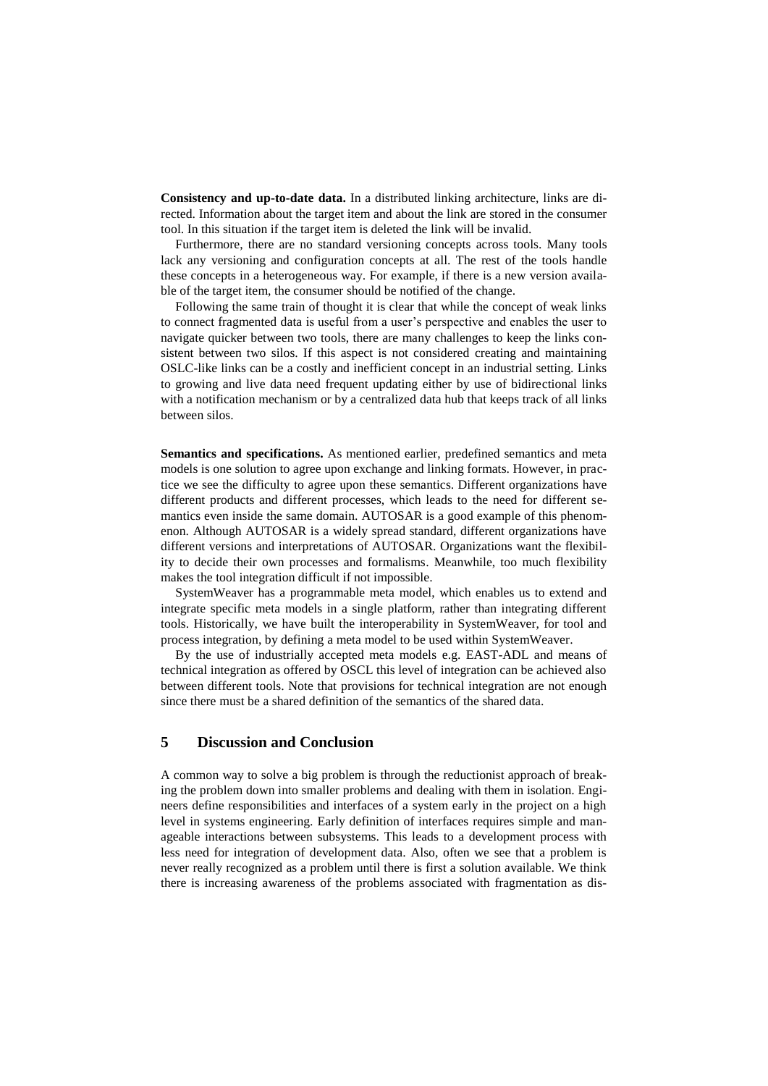**Consistency and up-to-date data.** In a distributed linking architecture, links are directed. Information about the target item and about the link are stored in the consumer tool. In this situation if the target item is deleted the link will be invalid.

Furthermore, there are no standard versioning concepts across tools. Many tools lack any versioning and configuration concepts at all. The rest of the tools handle these concepts in a heterogeneous way. For example, if there is a new version available of the target item, the consumer should be notified of the change.

Following the same train of thought it is clear that while the concept of weak links to connect fragmented data is useful from a user's perspective and enables the user to navigate quicker between two tools, there are many challenges to keep the links consistent between two silos. If this aspect is not considered creating and maintaining OSLC-like links can be a costly and inefficient concept in an industrial setting. Links to growing and live data need frequent updating either by use of bidirectional links with a notification mechanism or by a centralized data hub that keeps track of all links between silos.

**Semantics and specifications.** As mentioned earlier, predefined semantics and meta models is one solution to agree upon exchange and linking formats. However, in practice we see the difficulty to agree upon these semantics. Different organizations have different products and different processes, which leads to the need for different semantics even inside the same domain. AUTOSAR is a good example of this phenomenon. Although AUTOSAR is a widely spread standard, different organizations have different versions and interpretations of AUTOSAR. Organizations want the flexibility to decide their own processes and formalisms. Meanwhile, too much flexibility makes the tool integration difficult if not impossible.

SystemWeaver has a programmable meta model, which enables us to extend and integrate specific meta models in a single platform, rather than integrating different tools. Historically, we have built the interoperability in SystemWeaver, for tool and process integration, by defining a meta model to be used within SystemWeaver.

By the use of industrially accepted meta models e.g. EAST-ADL and means of technical integration as offered by OSCL this level of integration can be achieved also between different tools. Note that provisions for technical integration are not enough since there must be a shared definition of the semantics of the shared data.

## **5 Discussion and Conclusion**

A common way to solve a big problem is through the reductionist approach of breaking the problem down into smaller problems and dealing with them in isolation. Engineers define responsibilities and interfaces of a system early in the project on a high level in systems engineering. Early definition of interfaces requires simple and manageable interactions between subsystems. This leads to a development process with less need for integration of development data. Also, often we see that a problem is never really recognized as a problem until there is first a solution available. We think there is increasing awareness of the problems associated with fragmentation as dis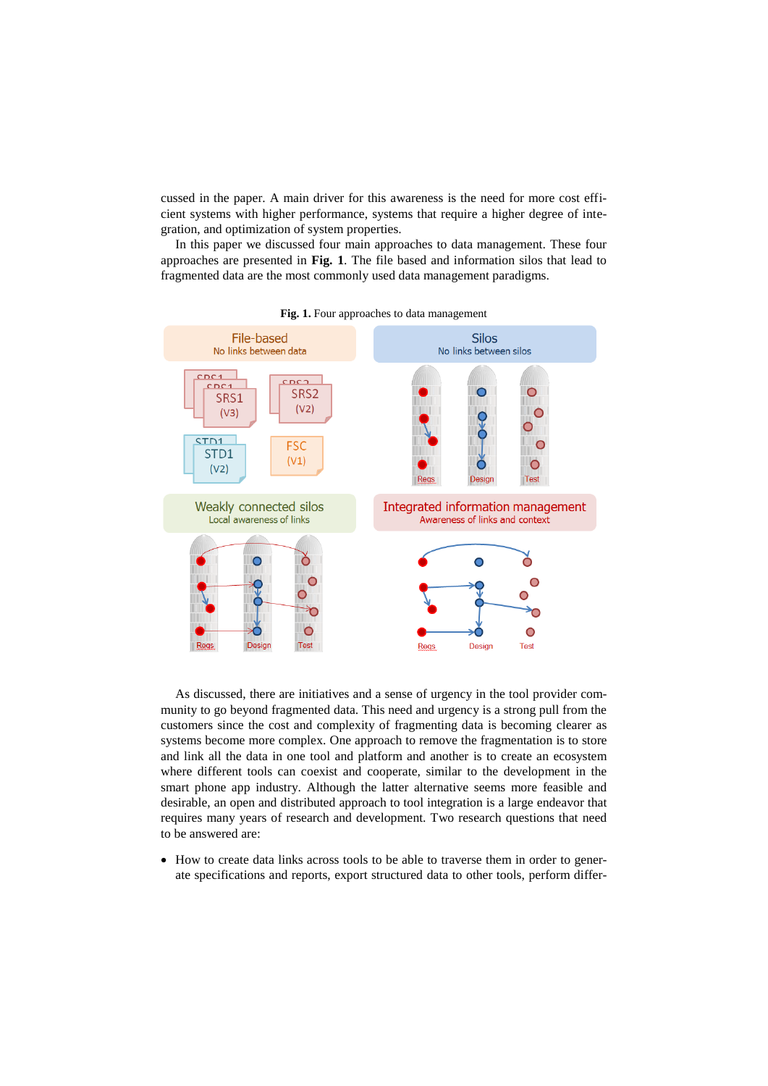cussed in the paper. A main driver for this awareness is the need for more cost efficient systems with higher performance, systems that require a higher degree of integration, and optimization of system properties.

In this paper we discussed four main approaches to data management. These four approaches are presented in **[Fig. 1](#page-8-0)**. The file based and information silos that lead to fragmented data are the most commonly used data management paradigms.

<span id="page-8-0"></span>

**Fig. 1.** Four approaches to data management

As discussed, there are initiatives and a sense of urgency in the tool provider community to go beyond fragmented data. This need and urgency is a strong pull from the customers since the cost and complexity of fragmenting data is becoming clearer as systems become more complex. One approach to remove the fragmentation is to store and link all the data in one tool and platform and another is to create an ecosystem where different tools can coexist and cooperate, similar to the development in the smart phone app industry. Although the latter alternative seems more feasible and desirable, an open and distributed approach to tool integration is a large endeavor that requires many years of research and development. Two research questions that need to be answered are:

 How to create data links across tools to be able to traverse them in order to generate specifications and reports, export structured data to other tools, perform differ